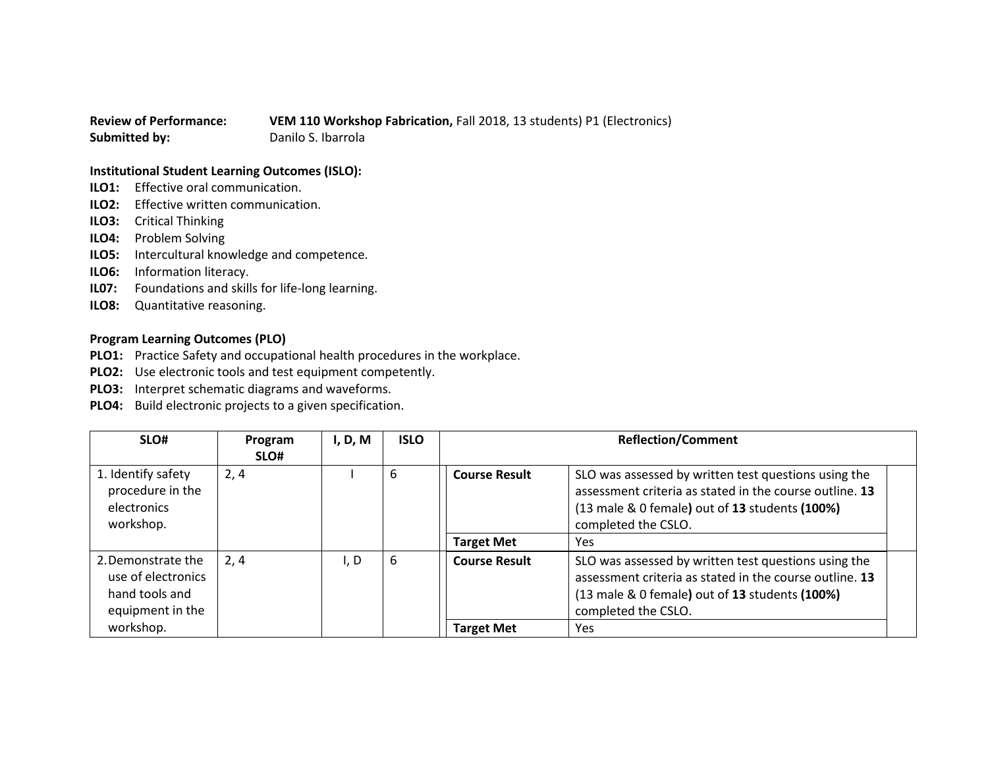## **Review of Performance: VEM 110 Workshop Fabrication,** Fall 2018, 13 students) P1 (Electronics) **Submitted by:** Danilo S. Ibarrola

## **Institutional Student Learning Outcomes (ISLO):**

- **ILO1:** Effective oral communication.
- **ILO2:** Effective written communication.
- **ILO3:** Critical Thinking
- **ILO4:** Problem Solving
- **ILO5:** Intercultural knowledge and competence.
- **ILO6:** Information literacy.
- **IL07:** Foundations and skills for life-long learning.
- **ILO8:** Quantitative reasoning.

## **Program Learning Outcomes (PLO)**

- **PLO1:** Practice Safety and occupational health procedures in the workplace.
- **PLO2:** Use electronic tools and test equipment competently.
- **PLO3:** Interpret schematic diagrams and waveforms.
- **PLO4:** Build electronic projects to a given specification.

| SLO#                                                                           | Program<br>SLO# | I, D, M | <b>ISLO</b> | <b>Reflection/Comment</b> |                                                                                                                                                                                          |
|--------------------------------------------------------------------------------|-----------------|---------|-------------|---------------------------|------------------------------------------------------------------------------------------------------------------------------------------------------------------------------------------|
| 1. Identify safety<br>procedure in the<br>electronics<br>workshop.             | 2,4             |         | 6           | <b>Course Result</b>      | SLO was assessed by written test questions using the<br>assessment criteria as stated in the course outline. 13<br>(13 male & 0 female) out of 13 students (100%)<br>completed the CSLO. |
|                                                                                |                 |         |             | <b>Target Met</b>         | <b>Yes</b>                                                                                                                                                                               |
| 2. Demonstrate the<br>use of electronics<br>hand tools and<br>equipment in the | 2, 4            | I, D    | 6           | <b>Course Result</b>      | SLO was assessed by written test questions using the<br>assessment criteria as stated in the course outline. 13<br>(13 male & 0 female) out of 13 students (100%)<br>completed the CSLO. |
| workshop.                                                                      |                 |         |             | <b>Target Met</b>         | Yes                                                                                                                                                                                      |